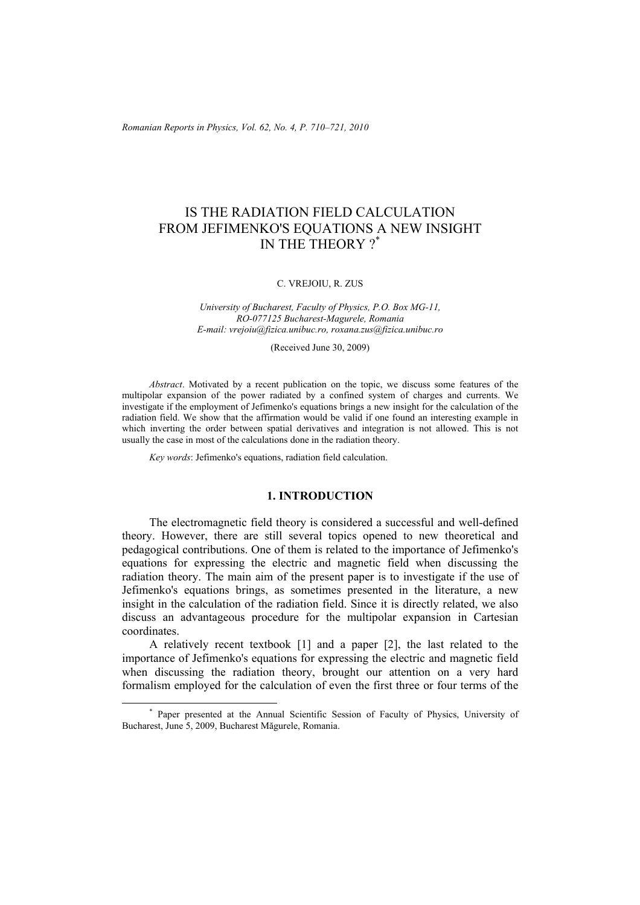*Romanian Reports in Physics, Vol. 62, No. 4, P. 710–721, 2010*

# IS THE RADIATION FIELD CALCULATION FROM JEFIMENKO'S EQUATIONS A NEW INSIGHT IN THE THEORY ?\*

### C. VREJOIU, R. ZUS

*University of Bucharest, Faculty of Physics, P.O. Box MG-11, RO-077125 Bucharest-Magurele, Romania E-mail: vrejoiu@fizica.unibuc.ro, roxana.zus@fizica.unibuc.ro* 

(Received June 30, 2009)

*Abstract*. Motivated by a recent publication on the topic, we discuss some features of the multipolar expansion of the power radiated by a confined system of charges and currents. We investigate if the employment of Jefimenko's equations brings a new insight for the calculation of the radiation field. We show that the affirmation would be valid if one found an interesting example in which inverting the order between spatial derivatives and integration is not allowed. This is not usually the case in most of the calculations done in the radiation theory.

*Key words*: Jefimenko's equations, radiation field calculation.

## **1. INTRODUCTION**

The electromagnetic field theory is considered a successful and well-defined theory. However, there are still several topics opened to new theoretical and pedagogical contributions. One of them is related to the importance of Jefimenko's equations for expressing the electric and magnetic field when discussing the radiation theory. The main aim of the present paper is to investigate if the use of Jefimenko's equations brings, as sometimes presented in the literature, a new insight in the calculation of the radiation field. Since it is directly related, we also discuss an advantageous procedure for the multipolar expansion in Cartesian coordinates.

A relatively recent textbook [1] and a paper [2], the last related to the importance of Jefimenko's equations for expressing the electric and magnetic field when discussing the radiation theory, brought our attention on a very hard formalism employed for the calculation of even the first three or four terms of the

 <sup>\*</sup> Paper presented at the Annual Scientific Session of Faculty of Physics, University of Bucharest, June 5, 2009, Bucharest Măgurele, Romania.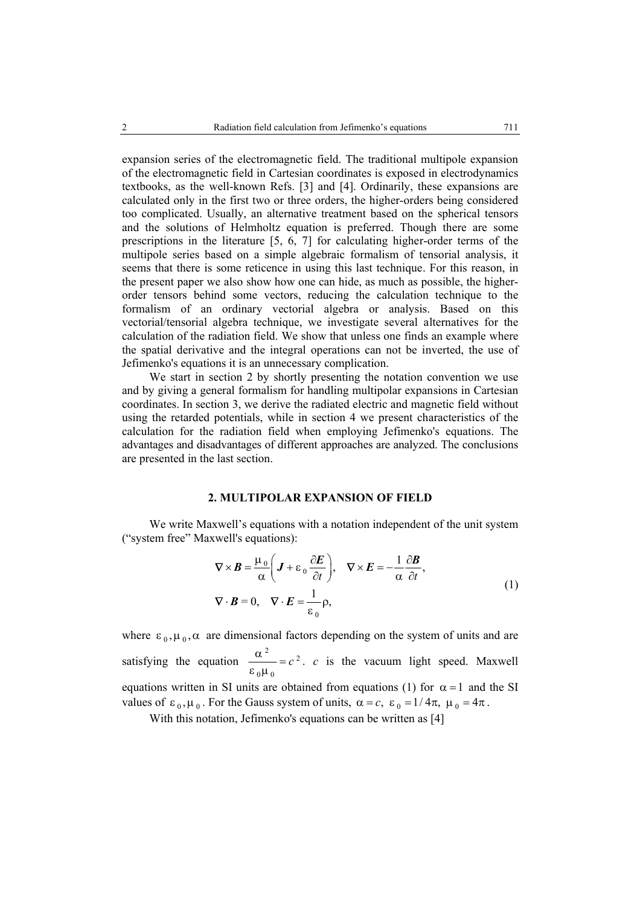expansion series of the electromagnetic field. The traditional multipole expansion of the electromagnetic field in Cartesian coordinates is exposed in electrodynamics textbooks, as the well-known Refs. [3] and [4]. Ordinarily, these expansions are calculated only in the first two or three orders, the higher-orders being considered too complicated. Usually, an alternative treatment based on the spherical tensors and the solutions of Helmholtz equation is preferred. Though there are some prescriptions in the literature [5, 6, 7] for calculating higher-order terms of the multipole series based on a simple algebraic formalism of tensorial analysis, it seems that there is some reticence in using this last technique. For this reason, in the present paper we also show how one can hide, as much as possible, the higherorder tensors behind some vectors, reducing the calculation technique to the formalism of an ordinary vectorial algebra or analysis. Based on this vectorial/tensorial algebra technique, we investigate several alternatives for the calculation of the radiation field. We show that unless one finds an example where the spatial derivative and the integral operations can not be inverted, the use of Jefimenko's equations it is an unnecessary complication.

We start in section 2 by shortly presenting the notation convention we use and by giving a general formalism for handling multipolar expansions in Cartesian coordinates. In section 3, we derive the radiated electric and magnetic field without using the retarded potentials, while in section 4 we present characteristics of the calculation for the radiation field when employing Jefimenko's equations. The advantages and disadvantages of different approaches are analyzed. The conclusions are presented in the last section.

## **2. MULTIPOLAR EXPANSION OF FIELD**

We write Maxwell's equations with a notation independent of the unit system ("system free" Maxwell's equations):

$$
\nabla \times \mathbf{B} = \frac{\mu_0}{\alpha} \left( \mathbf{J} + \varepsilon_0 \frac{\partial \mathbf{E}}{\partial t} \right), \quad \nabla \times \mathbf{E} = -\frac{1}{\alpha} \frac{\partial \mathbf{B}}{\partial t},
$$
  
\n
$$
\nabla \cdot \mathbf{B} = 0, \quad \nabla \cdot \mathbf{E} = \frac{1}{\varepsilon_0} \rho,
$$
 (1)

where  $\varepsilon_0$ ,  $\mu_0$ ,  $\alpha$  are dimensional factors depending on the system of units and are satisfying the equation  $\frac{\alpha^2}{\alpha^2} = c^2$  $_{0}\mu$ <sub>0</sub>  $\frac{\alpha^2}{\epsilon_0 \mu_0} = c^2$ . *c* is the vacuum light speed. Maxwell equations written in SI units are obtained from equations (1) for  $\alpha = 1$  and the SI values of  $\varepsilon_0$ ,  $\mu_0$ . For the Gauss system of units,  $\alpha = c$ ,  $\varepsilon_0 = 1/4\pi$ ,  $\mu_0 = 4\pi$ .

With this notation, Jefimenko's equations can be written as [4]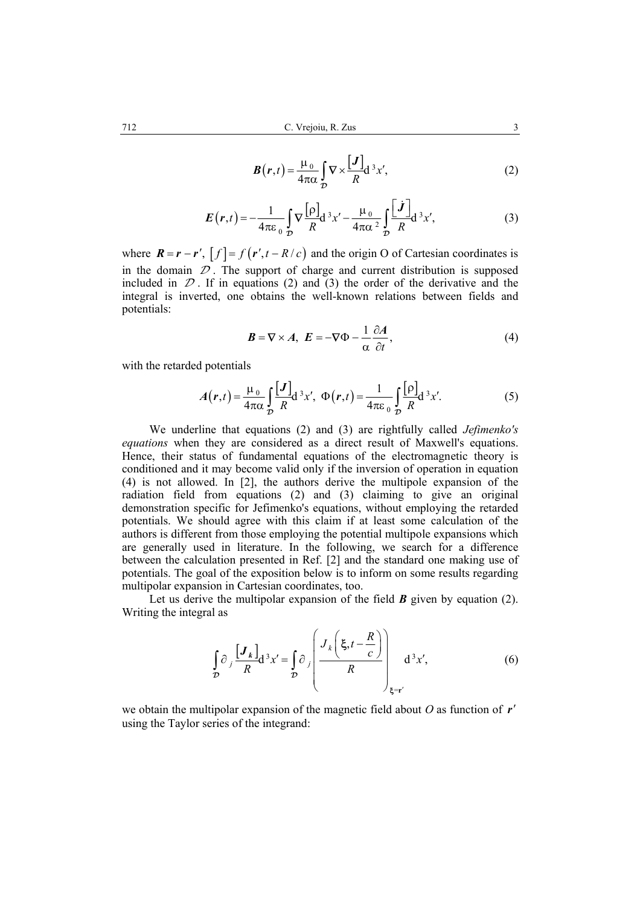$$
\boldsymbol{B}(\boldsymbol{r},t) = \frac{\mu_0}{4\pi\alpha} \int_{\mathcal{D}} \nabla \times \frac{[\boldsymbol{J}]}{R} d^3 x', \tag{2}
$$

$$
E(r,t) = -\frac{1}{4\pi\varepsilon_0} \int\limits_{\mathcal{D}} \nabla \frac{\left[\rho\right]}{R} d^3x' - \frac{\mu_0}{4\pi\alpha^2} \int\limits_{\mathcal{D}} \frac{\left[\dot{J}\right]}{R} d^3x',\tag{3}
$$

where  $\mathbf{R} = \mathbf{r} - \mathbf{r}'$ ,  $[f] = f(\mathbf{r}', t - R/c)$  and the origin O of Cartesian coordinates is in the domain  $\mathcal D$ . The support of charge and current distribution is supposed included in  $\mathcal D$ . If in equations (2) and (3) the order of the derivative and the integral is inverted, one obtains the well-known relations between fields and potentials:

$$
\mathbf{B} = \nabla \times \mathbf{A}, \ \mathbf{E} = -\nabla \Phi - \frac{1}{\alpha} \frac{\partial \mathbf{A}}{\partial t}, \tag{4}
$$

with the retarded potentials

$$
A(r,t) = \frac{\mu_0}{4\pi\alpha} \int\limits_{\mathcal{D}} \frac{[J]}{R} d^3x', \ \Phi(r,t) = \frac{1}{4\pi\epsilon_0} \int\limits_{\mathcal{D}} \frac{[\rho]}{R} d^3x'. \tag{5}
$$

We underline that equations (2) and (3) are rightfully called *Jefimenko's equations* when they are considered as a direct result of Maxwell's equations. Hence, their status of fundamental equations of the electromagnetic theory is conditioned and it may become valid only if the inversion of operation in equation (4) is not allowed. In [2], the authors derive the multipole expansion of the radiation field from equations (2) and (3) claiming to give an original demonstration specific for Jefimenko's equations, without employing the retarded potentials. We should agree with this claim if at least some calculation of the authors is different from those employing the potential multipole expansions which are generally used in literature. In the following, we search for a difference between the calculation presented in Ref. [2] and the standard one making use of potentials. The goal of the exposition below is to inform on some results regarding multipolar expansion in Cartesian coordinates, too.

Let us derive the multipolar expansion of the field  $\bm{B}$  given by equation (2). Writing the integral as

$$
\int_{\mathcal{D}} \partial_j \frac{[J_k]}{R} d^3 x' = \int_{\mathcal{D}} \partial_j \left( \frac{J_k \left( \xi, t - \frac{R}{c} \right)}{R} \right)_{\xi = r'} d^3 x', \tag{6}
$$

we obtain the multipolar expansion of the magnetic field about *O* as function of *r*′ using the Taylor series of the integrand: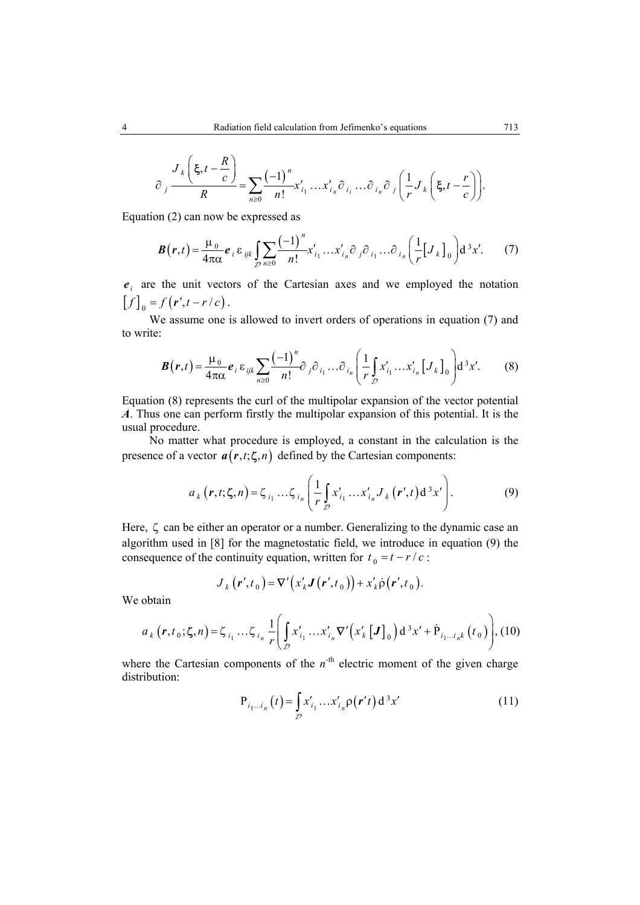$$
\partial_j \frac{J_k\left(\xi, t - \frac{R}{c}\right)}{R} = \sum_{n \geq 0} \frac{(-1)^n}{n!} x'_{i_1} \dots x'_{i_n} \partial_{i_i} \dots \partial_{i_n} \partial_j \left(\frac{1}{r} J_k\left(\xi, t - \frac{r}{c}\right)\right).
$$

Equation (2) can now be expressed as

$$
\boldsymbol{B}(\boldsymbol{r},t) = \frac{\mu_0}{4\pi\alpha} \boldsymbol{e}_i \boldsymbol{\varepsilon}_{ijk} \int_{\mathcal{D}} \sum_{n\geq 0} \frac{(-1)^n}{n!} x'_{i_1} \dots x'_{i_n} \partial_j \partial_{i_1} \dots \partial_{i_n} \left(\frac{1}{r} \begin{bmatrix} J_k \end{bmatrix}_0 \right) d^3 x'. \tag{7}
$$

 $e_i$  are the unit vectors of the Cartesian axes and we employed the notation  $[f]_0 = f(r', t - r/c)$ .

We assume one is allowed to invert orders of operations in equation (7) and to write:

$$
\boldsymbol{B}(\boldsymbol{r},t) = \frac{\mu_0}{4\pi\alpha} \boldsymbol{e}_i \boldsymbol{\varepsilon}_{ijk} \sum_{n\geq 0} \frac{(-1)^n}{n!} \partial_{j} \partial_{i_1} \dots \partial_{i_n} \left( \frac{1}{r} \int_{\mathcal{D}} x'_{i_1} \dots x'_{i_n} \left[ J_k \right]_0 \right) d^3 x'. \tag{8}
$$

Equation (8) represents the curl of the multipolar expansion of the vector potential *A*. Thus one can perform firstly the multipolar expansion of this potential. It is the usual procedure.

No matter what procedure is employed, a constant in the calculation is the presence of a vector  $a(r, t; \zeta, n)$  defined by the Cartesian components:

$$
a_{k}(\mathbf{r},t;\boldsymbol{\zeta},n)=\zeta_{i_{1}}\dots\zeta_{i_{n}}\left(\frac{1}{r}\int_{\mathcal{D}}x'_{i_{1}}\dots x'_{i_{n}}J_{k}(\mathbf{r}',t)\,d^{3}x'\right).
$$
 (9)

Here,  $\zeta$  can be either an operator or a number. Generalizing to the dynamic case an algorithm used in [8] for the magnetostatic field, we introduce in equation (9) the consequence of the continuity equation, written for  $t_0 = t - r/c$ :

$$
J_k(\boldsymbol{r}',t_0) = \nabla' \big( x'_k \boldsymbol{J}\big(\boldsymbol{r}',t_0\big) \big) + x'_k \dot{\rho} \big(\boldsymbol{r}',t_0\big).
$$

We obtain

$$
a_{k}(\mathbf{r},t_{0};\zeta,n)=\zeta_{i_{1}}...\zeta_{i_{n}}\frac{1}{r}\left(\int_{\mathcal{D}}x'_{i_{1}}...x'_{i_{n}}\nabla'\left(x'_{k}\left[\mathbf{J}\right]_{0}\right)\mathrm{d}^{3}x'+\dot{\mathbf{P}}_{i_{1}...i_{n}k}\left(t_{0}\right)\right),\left(10\right)
$$

where the Cartesian components of the  $n$ <sup>-th</sup> electric moment of the given charge distribution:

$$
P_{i_1...i_n}(t) = \int_{D} x'_{i_1} ... x'_{i_n} \rho(r't) d^3x'
$$
 (11)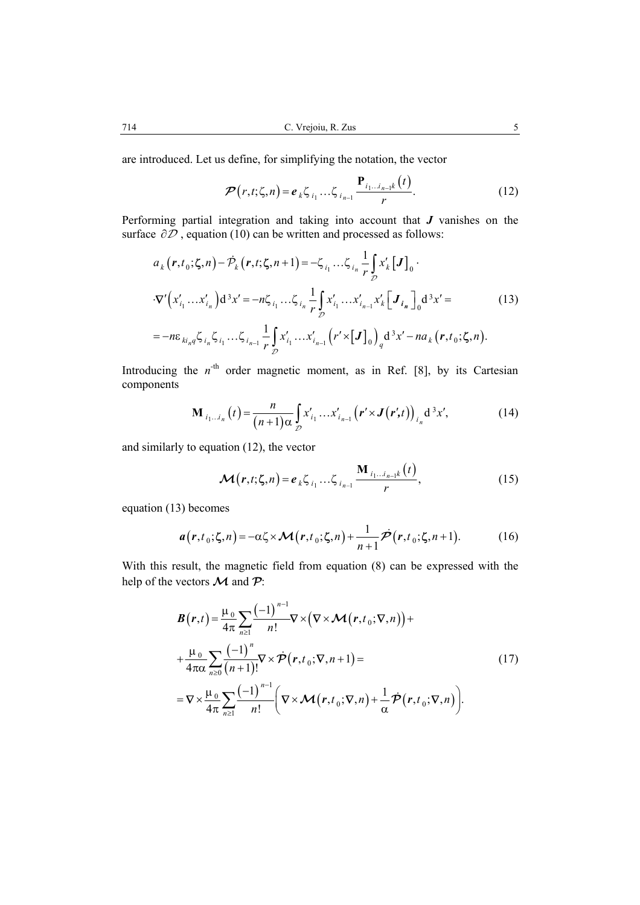are introduced. Let us define, for simplifying the notation, the vector

$$
\mathcal{P}(r,t,\zeta,n) = e_k \zeta_{i_1} \dots \zeta_{i_{n-1}} \frac{\mathbf{P}_{i_1 \dots i_{n-1}k}(t)}{r}.
$$
 (12)

Performing partial integration and taking into account that *J* vanishes on the surface  $\partial \overline{D}$ , equation (10) can be written and processed as follows:

$$
a_{k} (r, t_{0}; \zeta, n) - \dot{\mathcal{P}}_{k} (r, t; \zeta, n+1) = -\zeta_{i_{1}} ... \zeta_{i_{n}} \frac{1}{r} \int_{\mathcal{D}} x'_{k} [J]_{0} \cdot
$$
  
\n
$$
\cdot \nabla' (x'_{i_{1}} ... x'_{i_{n}}) d^{3} x' = -n \zeta_{i_{1}} ... \zeta_{i_{n}} \frac{1}{r} \int_{\mathcal{D}} x'_{i_{1}} ... x'_{i_{n-1}} x'_{k} [J_{i_{n}}]_{0} d^{3} x' =
$$
  
\n
$$
= -n \varepsilon_{ki_{n}q} \zeta_{i_{n}} \zeta_{i_{1}} ... \zeta_{i_{n-1}} \frac{1}{r} \int_{\mathcal{D}} x'_{i_{1}} ... x'_{i_{n-1}} (r' \times [J]_{0})_{q} d^{3} x' - na_{k} (r, t_{0}; \zeta, n).
$$
\n(13)

Introducing the  $n<sup>-th</sup>$  order magnetic moment, as in Ref. [8], by its Cartesian components

$$
\mathbf{M}_{i_1\ldots i_n}(t) = \frac{n}{(n+1)\alpha} \int_{\mathcal{D}} x'_{i_1}\ldots x'_{i_{n-1}} \left(\mathbf{r}' \times \mathbf{J}(\mathbf{r}',t)\right)_{i_n} d^3 x',\tag{14}
$$

and similarly to equation (12), the vector

$$
\mathcal{M}(r,t;\zeta,n) = e_k \zeta_{i_1} \dots \zeta_{i_{n-1}} \frac{\mathbf{M}_{i_1 \dots i_{n-1}k}(t)}{r},
$$
\n(15)

equation (13) becomes

$$
a(r,t_0;\zeta,n) = -\alpha\zeta \times \mathcal{M}(r,t_0;\zeta,n) + \frac{1}{n+1}\dot{\mathcal{P}}(r,t_0;\zeta,n+1). \tag{16}
$$

With this result, the magnetic field from equation (8) can be expressed with the help of the vectors **M** and **P**:

$$
\mathbf{B}(\mathbf{r},t) = \frac{\mu_0}{4\pi} \sum_{n\geq 1} \frac{(-1)^{n-1}}{n!} \nabla \times (\nabla \times \mathbf{\mathcal{M}}(\mathbf{r},t_0;\nabla,n)) + \n+ \frac{\mu_0}{4\pi\alpha} \sum_{n\geq 0} \frac{(-1)^n}{(n+1)!} \nabla \times \dot{\mathbf{\mathcal{P}}}(\mathbf{r},t_0;\nabla,n+1) = \n= \nabla \times \frac{\mu_0}{4\pi} \sum_{n\geq 1} \frac{(-1)^{n-1}}{n!} \left( \nabla \times \mathbf{\mathcal{M}}(\mathbf{r},t_0;\nabla,n) + \frac{1}{\alpha} \dot{\mathbf{\mathcal{P}}}(\mathbf{r},t_0;\nabla,n) \right).
$$
\n(17)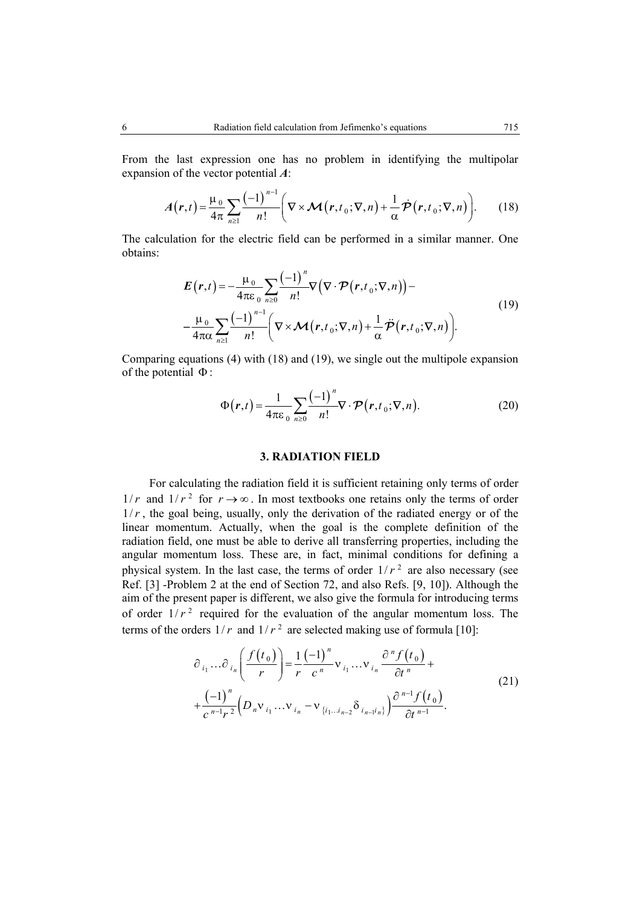From the last expression one has no problem in identifying the multipolar expansion of the vector potential *A*:

$$
A(r,t) = \frac{\mu_0}{4\pi} \sum_{n\geq 1} \frac{(-1)^{n-1}}{n!} \left( \nabla \times \mathcal{M}(r,t_0; \nabla, n) + \frac{1}{\alpha} \dot{\mathcal{P}}(r,t_0; \nabla, n) \right).
$$
 (18)

The calculation for the electric field can be performed in a similar manner. One obtains:

$$
E(r,t) = -\frac{\mu_0}{4\pi\varepsilon_0} \sum_{n\geq 0} \frac{(-1)^n}{n!} \nabla (\nabla \cdot \mathcal{P}(r,t_0; \nabla, n)) -
$$
  

$$
-\frac{\mu_0}{4\pi\alpha} \sum_{n\geq 1} \frac{(-1)^{n-1}}{n!} \left( \nabla \times \mathcal{M}(r,t_0; \nabla, n) + \frac{1}{\alpha} \ddot{\mathcal{P}}(r,t_0; \nabla, n) \right).
$$
 (19)

Comparing equations (4) with (18) and (19), we single out the multipole expansion of the potential Φ :

$$
\Phi(r,t) = \frac{1}{4\pi\varepsilon_0} \sum_{n\geq 0} \frac{(-1)^n}{n!} \nabla \cdot \mathcal{P}(r,t_0; \nabla, n). \tag{20}
$$

## **3. RADIATION FIELD**

For calculating the radiation field it is sufficient retaining only terms of order  $1/r$  and  $1/r<sup>2</sup>$  for  $r \rightarrow \infty$ . In most textbooks one retains only the terms of order  $1/r$ , the goal being, usually, only the derivation of the radiated energy or of the linear momentum. Actually, when the goal is the complete definition of the radiation field, one must be able to derive all transferring properties, including the angular momentum loss. These are, in fact, minimal conditions for defining a physical system. In the last case, the terms of order  $1/r<sup>2</sup>$  are also necessary (see Ref. [3] -Problem 2 at the end of Section 72, and also Refs. [9, 10]). Although the aim of the present paper is different, we also give the formula for introducing terms of order  $1/r^2$  required for the evaluation of the angular momentum loss. The terms of the orders  $1/r$  and  $1/r<sup>2</sup>$  are selected making use of formula [10]:

$$
\partial_{i_1} \dots \partial_{i_n} \left( \frac{f(t_0)}{r} \right) = \frac{1}{r} \frac{(-1)^n}{c^n} v_{i_1} \dots v_{i_n} \frac{\partial^n f(t_0)}{\partial t^n} + \frac{(-1)^n}{c^{n-1} r^2} \left( D_n v_{i_1} \dots v_{i_n} - v_{i_{i_1} \dots i_{n-2}} \delta_{i_{n-1} \dots i_n} \right) \frac{\partial^{n-1} f(t_0)}{\partial t^{n-1}}.
$$
\n(21)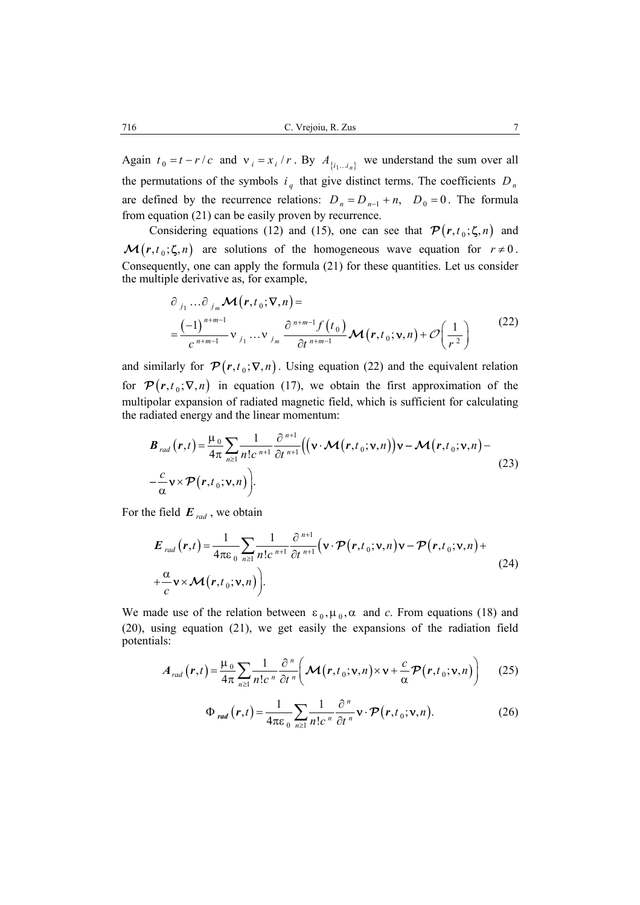Again  $t_0 = t - r/c$  and  $v_i = x_i / r$ . By  $A_{\{i_1...i_n\}}$  we understand the sum over all the permutations of the symbols  $i_q$  that give distinct terms. The coefficients  $D_n$ are defined by the recurrence relations:  $D_n = D_{n-1} + n$ ,  $D_0 = 0$ . The formula from equation (21) can be easily proven by recurrence.

Considering equations (12) and (15), one can see that  $\mathcal{P}(r, t_0; \zeta, n)$  and  $\mathcal{M}(r, t_0; \zeta, n)$  are solutions of the homogeneous wave equation for  $r \neq 0$ . Consequently, one can apply the formula (21) for these quantities. Let us consider the multiple derivative as, for example,

$$
\partial_{j_1} \dots \partial_{j_m} \mathcal{M}(r, t_0; \nabla, n) =
$$
\n
$$
= \frac{(-1)^{n+m-1}}{c^{n+m-1}} \mathbf{v}_{j_1} \dots \mathbf{v}_{j_m} \frac{\partial^{n+m-1} f(t_0)}{\partial t^{n+m-1}} \mathcal{M}(r, t_0; \mathbf{v}, n) + \mathcal{O}\left(\frac{1}{r^2}\right)
$$
\n(22)

and similarly for  $\mathcal{P} (r, t_0; \nabla, n)$ . Using equation (22) and the equivalent relation for  $\mathcal{P}(r, t_0; \nabla, n)$  in equation (17), we obtain the first approximation of the multipolar expansion of radiated magnetic field, which is sufficient for calculating the radiated energy and the linear momentum:

$$
\boldsymbol{B}_{rad}(\boldsymbol{r},t) = \frac{\mu_0}{4\pi} \sum_{n\geq 1} \frac{1}{n!c^{n+1}} \frac{\partial^{n+1}}{\partial t^{n+1}} \Big( (\boldsymbol{\nu} \cdot \boldsymbol{\mathcal{M}}(\boldsymbol{r},t_0;\boldsymbol{\nu},n)) \boldsymbol{\nu} - \boldsymbol{\mathcal{M}}(\boldsymbol{r},t_0;\boldsymbol{\nu},n) - \frac{c}{\alpha} \boldsymbol{\nu} \times \boldsymbol{\mathcal{P}}(\boldsymbol{r},t_0;\boldsymbol{\nu},n) \Big).
$$
\n(23)

For the field  $E_{rad}$ , we obtain

$$
\boldsymbol{E}_{rad}(\boldsymbol{r},t) = \frac{1}{4\pi\epsilon_0} \sum_{n\geq 1} \frac{1}{n!c^{n+1}} \frac{\partial^{n+1}}{\partial t^{n+1}} (\mathbf{v} \cdot \boldsymbol{\mathcal{P}}(\boldsymbol{r},t_0;\mathbf{v},n)\mathbf{v} - \boldsymbol{\mathcal{P}}(\boldsymbol{r},t_0;\mathbf{v},n) + \frac{\alpha}{c} \mathbf{v} \times \boldsymbol{\mathcal{M}}(\boldsymbol{r},t_0;\mathbf{v},n)).
$$
\n(24)

We made use of the relation between  $\varepsilon_0$ ,  $\mu_0$ ,  $\alpha$  and *c*. From equations (18) and (20), using equation (21), we get easily the expansions of the radiation field potentials:

$$
A_{rad}(r,t) = \frac{\mu_0}{4\pi} \sum_{n\geq 1} \frac{1}{n!c^n} \frac{\partial^n}{\partial t^n} \left( \mathcal{M}(r,t_0; \mathbf{v}, n) \times \mathbf{v} + \frac{c}{\alpha} \mathcal{P}(r,t_0; \mathbf{v}, n) \right)
$$
(25)

$$
\Phi_{rad}\left(\boldsymbol{r},t\right) = \frac{1}{4\pi\epsilon_0} \sum_{n\geq 1} \frac{1}{n!c^n} \frac{\partial^n}{\partial t^n} \mathbf{v} \cdot \boldsymbol{\mathcal{P}}\left(\boldsymbol{r},t_0; \mathbf{v},n\right). \tag{26}
$$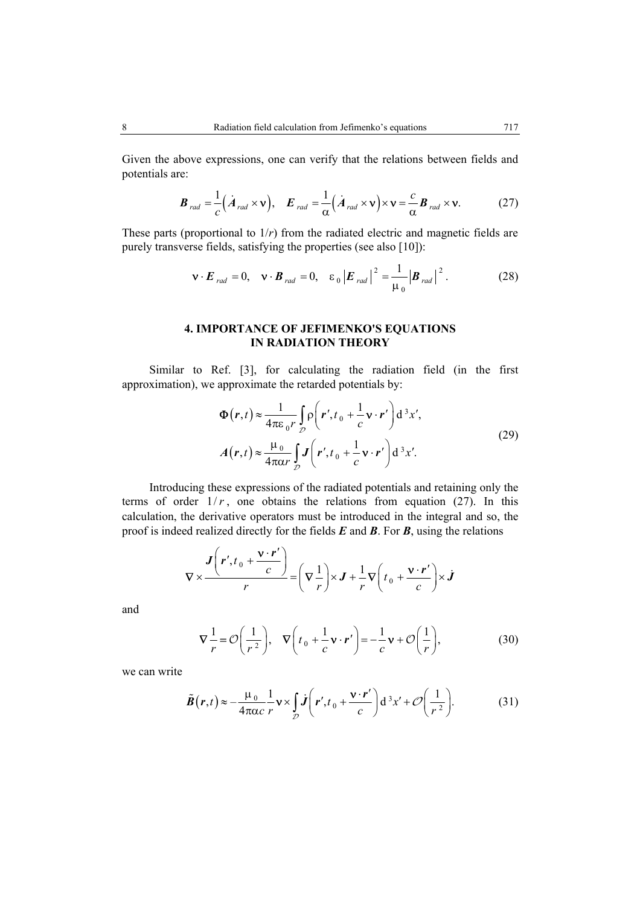Given the above expressions, one can verify that the relations between fields and potentials are:

$$
\boldsymbol{B}_{rad} = \frac{1}{c} (\dot{\boldsymbol{A}}_{rad} \times \mathbf{v}), \quad \boldsymbol{E}_{rad} = \frac{1}{\alpha} (\dot{\boldsymbol{A}}_{rad} \times \mathbf{v}) \times \mathbf{v} = \frac{c}{\alpha} \boldsymbol{B}_{rad} \times \mathbf{v}.
$$
 (27)

These parts (proportional to 1/*r*) from the radiated electric and magnetic fields are purely transverse fields, satisfying the properties (see also [10]):

$$
\mathbf{v} \cdot \boldsymbol{E}_{rad} = 0, \quad \mathbf{v} \cdot \boldsymbol{B}_{rad} = 0, \quad \varepsilon_0 \left| \boldsymbol{E}_{rad} \right|^2 = \frac{1}{\mu_0} \left| \boldsymbol{B}_{rad} \right|^2.
$$
 (28)

# **4. IMPORTANCE OF JEFIMENKO'S EQUATIONS IN RADIATION THEORY**

Similar to Ref. [3], for calculating the radiation field (in the first approximation), we approximate the retarded potentials by:

$$
\Phi(r,t) \approx \frac{1}{4\pi\varepsilon_0 r} \int_{\mathcal{D}} \rho\left(r', t_0 + \frac{1}{c} \mathbf{v} \cdot r'\right) d^3 x',
$$
\n
$$
A(r,t) \approx \frac{\mu_0}{4\pi\alpha r} \int_{\mathcal{D}} J\left(r', t_0 + \frac{1}{c} \mathbf{v} \cdot r'\right) d^3 x'. \tag{29}
$$

Introducing these expressions of the radiated potentials and retaining only the terms of order  $1/r$ , one obtains the relations from equation (27). In this calculation, the derivative operators must be introduced in the integral and so, the proof is indeed realized directly for the fields *E* and *B*. For *B*, using the relations

$$
\nabla \times \frac{\boldsymbol{J}\left(\boldsymbol{r}',t_{0}+\frac{\mathbf{V}\cdot\boldsymbol{r}'}{c}\right)}{r}=\left(\nabla\frac{1}{r}\right)\times\boldsymbol{J}+\frac{1}{r}\nabla\left(t_{0}+\frac{\mathbf{V}\cdot\boldsymbol{r}'}{c}\right)\times\boldsymbol{J}
$$

and

$$
\nabla \frac{1}{r} = \mathcal{O}\left(\frac{1}{r^2}\right), \quad \nabla \left(t_0 + \frac{1}{c}\mathbf{v} \cdot \mathbf{r}'\right) = -\frac{1}{c}\mathbf{v} + \mathcal{O}\left(\frac{1}{r}\right),\tag{30}
$$

we can write

$$
\tilde{B}(r,t) \approx -\frac{\mu_0}{4\pi\alpha c} \frac{1}{r} \mathbf{v} \times \int\limits_{D} \mathbf{j} \left( r', t_0 + \frac{\mathbf{v} \cdot r'}{c} \right) d^3 x' + \mathcal{O}\left(\frac{1}{r^2}\right).
$$
 (31)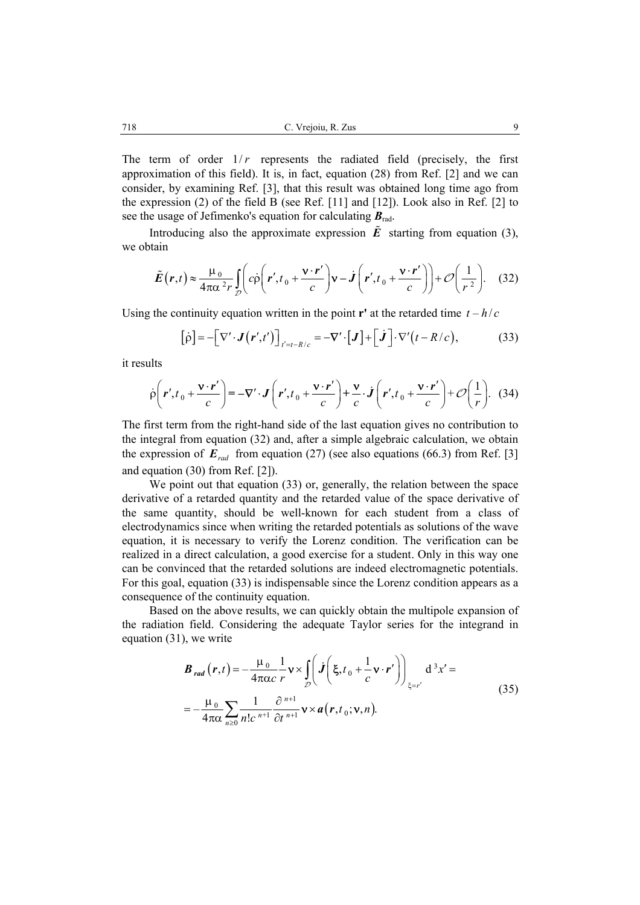The term of order  $1/r$  represents the radiated field (precisely, the first approximation of this field). It is, in fact, equation (28) from Ref. [2] and we can consider, by examining Ref. [3], that this result was obtained long time ago from the expression (2) of the field B (see Ref. [11] and [12]). Look also in Ref. [2] to see the usage of Jefimenko's equation for calculating *B*rad.

Introducing also the approximate expression  $\tilde{E}$  starting from equation (3), we obtain

$$
\tilde{E}(r,t) \approx \frac{\mu_0}{4\pi\alpha^2 r} \int_{\mathcal{D}} \left( c \dot{\rho} \left( r', t_0 + \frac{\mathbf{v} \cdot r'}{c} \right) \mathbf{v} - \dot{J} \left( r', t_0 + \frac{\mathbf{v} \cdot r'}{c} \right) \right) + \mathcal{O} \left( \frac{1}{r^2} \right). \tag{32}
$$

Using the continuity equation written in the point **r'** at the retarded time  $t - h/c$ 

$$
[\dot{\rho}] = -[\nabla' \cdot \mathbf{J}(\mathbf{r}', t')]_{t'=t-R/c} = -\nabla' \cdot [\mathbf{J}] + [\dot{\mathbf{J}}] \cdot \nabla' (t - R/c), \tag{33}
$$

it results

$$
\dot{\rho}\left(\mathbf{r}',t_0+\frac{\mathbf{v}\cdot\mathbf{r}'}{c}\right)=-\nabla'\cdot\mathbf{J}\left(\mathbf{r}',t_0+\frac{\mathbf{v}\cdot\mathbf{r}'}{c}\right)+\frac{\mathbf{v}}{c}\cdot\mathbf{J}\left(\mathbf{r}',t_0+\frac{\mathbf{v}\cdot\mathbf{r}'}{c}\right)+\mathcal{O}\left(\frac{1}{r}\right). \tag{34}
$$

The first term from the right-hand side of the last equation gives no contribution to the integral from equation (32) and, after a simple algebraic calculation, we obtain the expression of  $E_{rad}$  from equation (27) (see also equations (66.3) from Ref. [3] and equation (30) from Ref. [2]).

We point out that equation (33) or, generally, the relation between the space derivative of a retarded quantity and the retarded value of the space derivative of the same quantity, should be well-known for each student from a class of electrodynamics since when writing the retarded potentials as solutions of the wave equation, it is necessary to verify the Lorenz condition. The verification can be realized in a direct calculation, a good exercise for a student. Only in this way one can be convinced that the retarded solutions are indeed electromagnetic potentials. For this goal, equation (33) is indispensable since the Lorenz condition appears as a consequence of the continuity equation.

Based on the above results, we can quickly obtain the multipole expansion of the radiation field. Considering the adequate Taylor series for the integrand in equation (31), we write

$$
\boldsymbol{B}_{rad}(\boldsymbol{r},t) = -\frac{\mu_0}{4\pi\alpha c} \frac{1}{r} \mathbf{v} \times \int_{\mathcal{D}} \left( \boldsymbol{j} \left( \boldsymbol{\xi}, t_0 + \frac{1}{c} \mathbf{v} \cdot \boldsymbol{r}' \right) \right)_{\boldsymbol{\xi} = r'} d^3 x' =
$$
\n
$$
= -\frac{\mu_0}{4\pi\alpha} \sum_{n \ge 0} \frac{1}{n! c^{n+1}} \frac{\partial^{n+1}}{\partial t^{n+1}} \mathbf{v} \times \boldsymbol{a}(\boldsymbol{r}, t_0; \mathbf{v}, n).
$$
\n(35)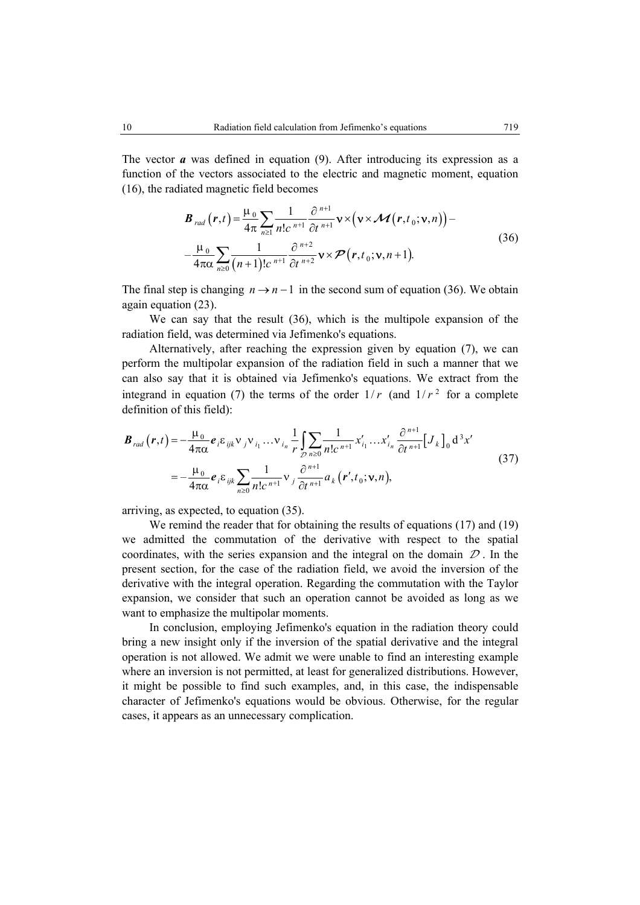The vector *a* was defined in equation (9). After introducing its expression as a function of the vectors associated to the electric and magnetic moment, equation (16), the radiated magnetic field becomes

$$
\boldsymbol{B}_{rad}(\boldsymbol{r},t) = \frac{\mu_0}{4\pi} \sum_{n\geq 1} \frac{1}{n!c^{n+1}} \frac{\partial^{n+1}}{\partial t^{n+1}} \mathbf{v} \times (\mathbf{v} \times \mathcal{M}(\boldsymbol{r},t_0;\mathbf{v},n)) - \frac{\mu_0}{4\pi\alpha} \sum_{n\geq 0} \frac{1}{(n+1)!c^{n+1}} \frac{\partial^{n+2}}{\partial t^{n+2}} \mathbf{v} \times \boldsymbol{\mathcal{P}}(\boldsymbol{r},t_0;\mathbf{v},n+1).
$$
\n(36)

The final step is changing  $n \rightarrow n-1$  in the second sum of equation (36). We obtain again equation (23).

We can say that the result (36), which is the multipole expansion of the radiation field, was determined via Jefimenko's equations.

Alternatively, after reaching the expression given by equation (7), we can perform the multipolar expansion of the radiation field in such a manner that we can also say that it is obtained via Jefimenko's equations. We extract from the integrand in equation (7) the terms of the order  $1/r$  (and  $1/r<sup>2</sup>$  for a complete definition of this field):

$$
\boldsymbol{B}_{rad}(\boldsymbol{r},t) = -\frac{\mu_0}{4\pi\alpha} \boldsymbol{e}_i \boldsymbol{\varepsilon}_{ijk} \boldsymbol{v}_j \boldsymbol{v}_{i_1} \dots \boldsymbol{v}_{i_n} \frac{1}{r} \int_{\mathcal{D}} \sum_{n\geq 0} \frac{1}{n! c^{n+1}} x'_{i_1} \dots x'_{i_n} \frac{\partial^{n+1}}{\partial t^{n+1}} \big[ J_k \big]_0 \, \mathrm{d}^3 x' \n= -\frac{\mu_0}{4\pi\alpha} \boldsymbol{e}_i \boldsymbol{\varepsilon}_{ijk} \sum_{n\geq 0} \frac{1}{n! c^{n+1}} \boldsymbol{v}_j \frac{\partial^{n+1}}{\partial t^{n+1}} a_k (\boldsymbol{r}', t_0; \mathbf{v}, n),
$$
\n(37)

arriving, as expected, to equation (35).

We remind the reader that for obtaining the results of equations (17) and (19) we admitted the commutation of the derivative with respect to the spatial coordinates, with the series expansion and the integral on the domain  $\mathcal D$ . In the present section, for the case of the radiation field, we avoid the inversion of the derivative with the integral operation. Regarding the commutation with the Taylor expansion, we consider that such an operation cannot be avoided as long as we want to emphasize the multipolar moments.

In conclusion, employing Jefimenko's equation in the radiation theory could bring a new insight only if the inversion of the spatial derivative and the integral operation is not allowed. We admit we were unable to find an interesting example where an inversion is not permitted, at least for generalized distributions. However, it might be possible to find such examples, and, in this case, the indispensable character of Jefimenko's equations would be obvious. Otherwise, for the regular cases, it appears as an unnecessary complication.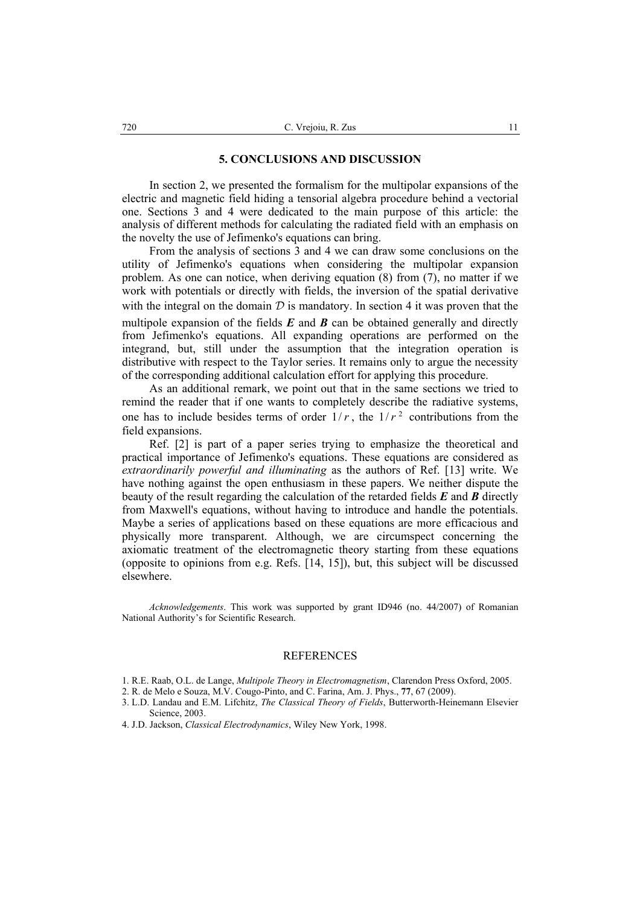#### **5. CONCLUSIONS AND DISCUSSION**

In section 2, we presented the formalism for the multipolar expansions of the electric and magnetic field hiding a tensorial algebra procedure behind a vectorial one. Sections 3 and 4 were dedicated to the main purpose of this article: the analysis of different methods for calculating the radiated field with an emphasis on the novelty the use of Jefimenko's equations can bring.

From the analysis of sections 3 and 4 we can draw some conclusions on the utility of Jefimenko's equations when considering the multipolar expansion problem. As one can notice, when deriving equation (8) from (7), no matter if we work with potentials or directly with fields, the inversion of the spatial derivative with the integral on the domain  $D$  is mandatory. In section 4 it was proven that the multipole expansion of the fields  $E$  and  $B$  can be obtained generally and directly from Jefimenko's equations. All expanding operations are performed on the integrand, but, still under the assumption that the integration operation is distributive with respect to the Taylor series. It remains only to argue the necessity of the corresponding additional calculation effort for applying this procedure.

As an additional remark, we point out that in the same sections we tried to remind the reader that if one wants to completely describe the radiative systems, one has to include besides terms of order  $1/r$ , the  $1/r<sup>2</sup>$  contributions from the field expansions.

Ref. [2] is part of a paper series trying to emphasize the theoretical and practical importance of Jefimenko's equations. These equations are considered as *extraordinarily powerful and illuminating* as the authors of Ref. [13] write. We have nothing against the open enthusiasm in these papers. We neither dispute the beauty of the result regarding the calculation of the retarded fields *E* and *B* directly from Maxwell's equations, without having to introduce and handle the potentials. Maybe a series of applications based on these equations are more efficacious and physically more transparent. Although, we are circumspect concerning the axiomatic treatment of the electromagnetic theory starting from these equations (opposite to opinions from e.g. Refs. [14, 15]), but, this subject will be discussed elsewhere.

*Acknowledgements*. This work was supported by grant ID946 (no. 44/2007) of Romanian National Authority's for Scientific Research.

### REFERENCES

- 1. R.E. Raab, O.L. de Lange, *Multipole Theory in Electromagnetism*, Clarendon Press Oxford, 2005.
- 2. R. de Melo e Souza, M.V. Cougo-Pinto, and C. Farina, Am. J. Phys., **77**, 67 (2009).
- 3. L.D. Landau and E.M. Lifchitz, *The Classical Theory of Fields*, Butterworth-Heinemann Elsevier Science, 2003.
- 4. J.D. Jackson, *Classical Electrodynamics*, Wiley New York, 1998.